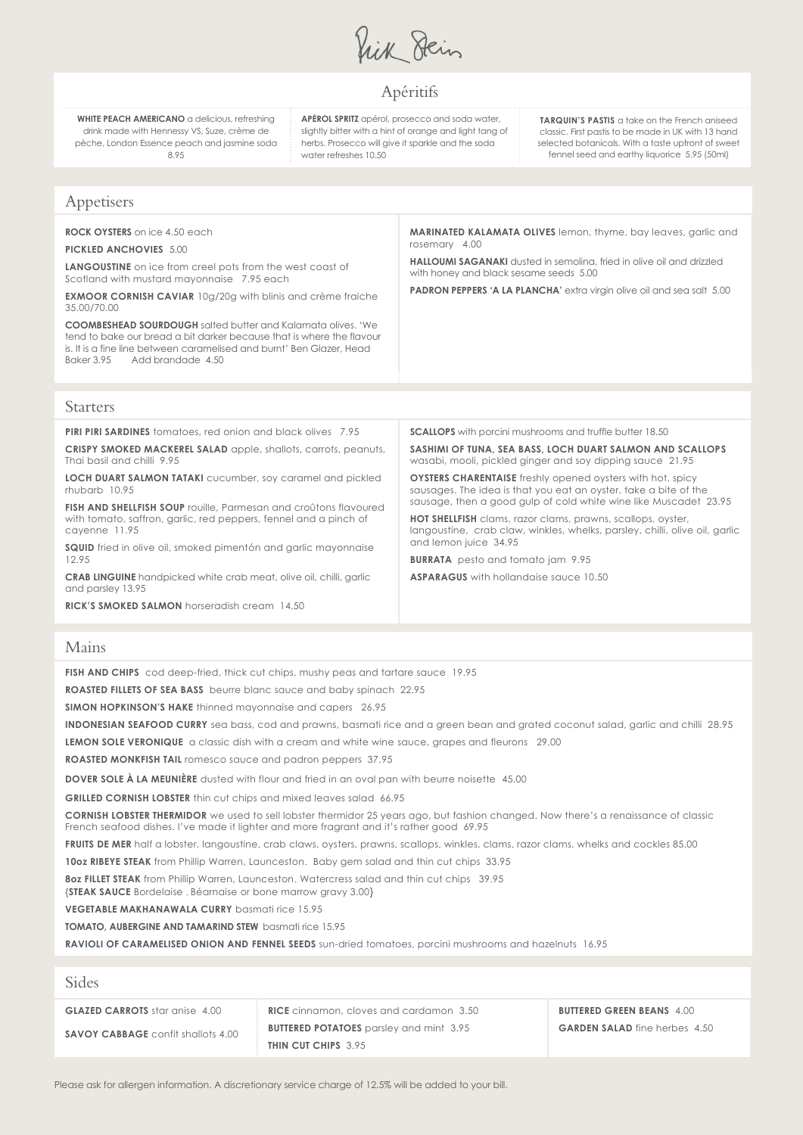Please ask for allergen information. A discretionary service charge of 12.5% will be added to your bill.

### Appetisers

**ROCK OYSTERS** on ice 4.50 each **PICKLED ANCHOVIES** 5.00 **LANGOUSTINE** on ice from creel pots from the west coast of Scotland with mustard mayonnaise 7.95 each **EXMOOR CORNISH CAVIAR** 10g/20g with blinis and crème fraiche 35.00/70.00 **COOMBESHEAD SOURDOUGH** salted butter and Kalamata olives. 'We tend to bake our bread a bit darker because that is where the flavour is. It is a fine line between caramelised and burnt' Ben Glazer, Head Baker 3.95 Add brandade 4.50 **MARINATED KALAMATA OLIVES** lemon, thyme, bay leaves, garlic and rosemary 4.00 **HALLOUMI SAGANAKI** dusted in semolina, fried in olive oil and drizzled with honey and black sesame seeds 5.00 **PADRON PEPPERS 'A LA PLANCHA'** extra virgin olive oil and sea salt 5.00 **Starters PIRI PIRI SARDINES** tomatoes, red onion and black olives 7.95 **CRISPY SMOKED MACKEREL SALAD** apple, shallots, carrots, peanuts, Thai basil and chilli 9.95 **LOCH DUART SALMON TATAKI** cucumber, soy caramel and pickled rhubarb 10.95 **SCALLOPS** with porcini mushrooms and truffle butter 18.50 **SASHIMI OF TUNA, SEA BASS, LOCH DUART SALMON AND SCALLOPS** wasabi, mooli, pickled ginger and soy dipping sauce 21.95 **OYSTERS CHARENTAISE** freshly opened oysters with hot, spicy sausages. The idea is that you eat an oyster, take a bite of the

**FISH AND SHELLFISH SOUP** rouille, Parmesan and croûtons flavoured with tomato, saffron, garlic, red peppers, fennel and a pinch of cayenne 11.95

**SQUID** fried in olive oil, smoked pimentón and garlic mayonnaise 12.95

**CRAB LINGUINE** handpicked white crab meat, olive oil, chilli, garlic and parsley 13.95

**RICK'S SMOKED SALMON** horseradish cream 14.50

sausage, then a good gulp of cold white wine like Muscadet 23.95

**HOT SHELLFISH** clams, razor clams, prawns, scallops, oyster, langoustine, crab claw, winkles, whelks, parsley, chilli, olive oil, garlic and lemon juice 34.95

ik dein

**WHITE PEACH AMERICANO** a delicious, refreshing drink made with Hennessy VS, Suze, crème de pèche, London Essence peach and jasmine soda 8.95

**BURRATA** pesto and tomato jam 9.95

**ASPARAGUS** with hollandaise sauce 10.50

#### Mains

**FISH AND CHIPS** cod deep-fried, thick cut chips, mushy peas and tartare sauce 19.95

**ROASTED FILLETS OF SEA BASS** beurre blanc sauce and baby spinach 22.95

**SIMON HOPKINSON'S HAKE** thinned mayonnaise and capers 26.95

**INDONESIAN SEAFOOD CURRY** sea bass, cod and prawns, basmati rice and a green bean and grated coconut salad, garlic and chilli 28.95

**LEMON SOLE VERONIQUE** a classic dish with a cream and white wine sauce, grapes and fleurons 29.00

**ROASTED MONKFISH TAIL** romesco sauce and padron peppers 37.95

**DOVER SOLE À LA MEUNIÈRE** dusted with flour and fried in an oval pan with beurre noisette 45.00

**GRILLED CORNISH LOBSTER** thin cut chips and mixed leaves salad 66.95

**CORNISH LOBSTER THERMIDOR** we used to sell lobster thermidor 25 years ago, but fashion changed. Now there's a renaissance of classic French seafood dishes. I've made it lighter and more fragrant and it's rather good 69.95

FRUITS DE MER half a lobster, langoustine, crab claws, oysters, prawns, scallops, winkles, clams, razor clams, whelks and cockles 85.00

**10oz RIBEYE STEAK** from Phillip Warren, Launceston. Baby gem salad and thin cut chips 33.95

**8oz FILLET STEAK** from Phillip Warren, Launceston. Watercress salad and thin cut chips 39.95 {**STEAK SAUCE** Bordelaise , Béarnaise or bone marrow gravy 3.00}

**VEGETABLE MAKHANAWALA CURRY** basmati rice 15.95

**TOMATO, AUBERGINE AND TAMARIND STEW** basmati rice 15.95

**RAVIOLI OF CARAMELISED ONION AND FENNEL SEEDS** sun-dried tomatoes, porcini mushrooms and hazelnuts 16.95

| Sides                                     |                                                |                                      |
|-------------------------------------------|------------------------------------------------|--------------------------------------|
| <b>GLAZED CARROTS</b> star anise 4.00     | <b>RICE</b> cinnamon, cloves and cardamon 3.50 | <b>BUTTERED GREEN BEANS 4.00</b>     |
| <b>SAVOY CABBAGE</b> confit shallots 4.00 | <b>BUTTERED POTATOES</b> parsley and mint 3.95 | <b>GARDEN SALAD</b> fine herbes 4.50 |
|                                           | <b>THIN CUT CHIPS 3.95</b>                     |                                      |

**APÉROL SPRITZ** apérol, prosecco and soda water, slightly bitter with a hint of orange and light tang of herbs. Prosecco will give it sparkle and the soda water refreshes 10.50

**TARQUIN'S PASTIS** a take on the French aniseed classic. First pastis to be made in UK with 13 hand selected botanicals. With a taste upfront of sweet fennel seed and earthy liquorice 5.95 (50ml)